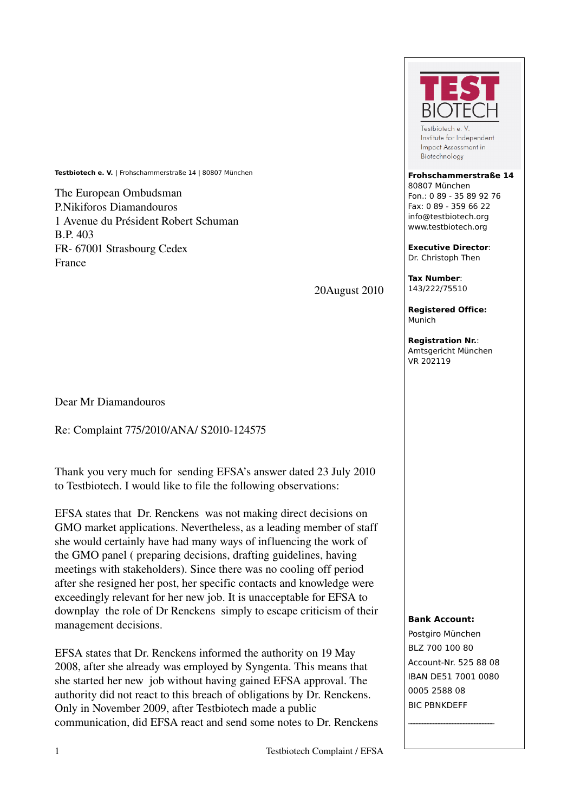**Testbiotech e. V. |** Frohschammerstraße 14 | 80807 München

The European Ombudsman P.Nikiforos Diamandouros 1 Avenue du Président Robert Schuman B.P. 403 FR-67001 Strasbourg Cedex France

20August 2010

Dear Mr Diamandouros

Re: Complaint 775/2010/ANA/ S2010-124575

Thank you very much for sending EFSA's answer dated 23 July 2010 to Testbiotech. I would like to file the following observations:

EFSA states that Dr. Renckens was not making direct decisions on GMO market applications. Nevertheless, as a leading member of staff she would certainly have had many ways of influencing the work of the GMO panel ( preparing decisions, drafting guidelines, having meetings with stakeholders). Since there was no cooling off period after she resigned her post, her specific contacts and knowledge were exceedingly relevant for her new job. It is unacceptable for EFSA to downplay the role of Dr Renckens simply to escape criticism of their management decisions.

EFSA states that Dr. Renckens informed the authority on 19 May 2008, after she already was employed by Syngenta. This means that she started her new job without having gained EFSA approval. The authority did not react to this breach of obligations by Dr. Renckens. Only in November 2009, after Testbiotech made a public communication, did EFSA react and send some notes to Dr. Renckens



Testhiotech e V Institute for Independent Impact Assessment in Biotechnology

**Frohschammerstraße 14** 80807 München

Fon.: 0 89 - 35 89 92 76 Fax: 0 89 - 359 66 22 info@testbiotech.org www.testbiotech.org

**Executive Director**: Dr. Christoph Then

**Tax Number**: 143/222/75510

**Registered Office:** Munich

**Registration Nr.**: Amtsgericht München VR 202119

## **Bank Account:**

Postgiro München BLZ 700 100 80 Account-Nr. 525 88 08 IBAN DE51 7001 0080 0005 2588 08 BIC PBNKDEFF

 $\mathcal{L}_\text{max}$  , where  $\mathcal{L}_\text{max}$  is the set of the set of the set of the set of the set of the set of the set of the set of the set of the set of the set of the set of the set of the set of the set of the set of the se